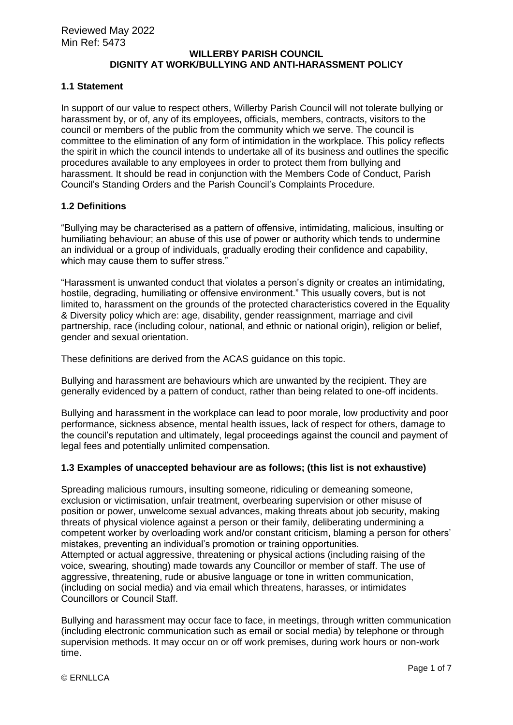# **WILLERBY PARISH COUNCIL DIGNITY AT WORK/BULLYING AND ANTI-HARASSMENT POLICY**

#### **1.1 Statement**

In support of our value to respect others, Willerby Parish Council will not tolerate bullying or harassment by, or of, any of its employees, officials, members, contracts, visitors to the council or members of the public from the community which we serve. The council is committee to the elimination of any form of intimidation in the workplace. This policy reflects the spirit in which the council intends to undertake all of its business and outlines the specific procedures available to any employees in order to protect them from bullying and harassment. It should be read in conjunction with the Members Code of Conduct, Parish Council's Standing Orders and the Parish Council's Complaints Procedure.

#### **1.2 Definitions**

"Bullying may be characterised as a pattern of offensive, intimidating, malicious, insulting or humiliating behaviour; an abuse of this use of power or authority which tends to undermine an individual or a group of individuals, gradually eroding their confidence and capability, which may cause them to suffer stress.

"Harassment is unwanted conduct that violates a person's dignity or creates an intimidating, hostile, degrading, humiliating or offensive environment." This usually covers, but is not limited to, harassment on the grounds of the protected characteristics covered in the Equality & Diversity policy which are: age, disability, gender reassignment, marriage and civil partnership, race (including colour, national, and ethnic or national origin), religion or belief, gender and sexual orientation.

These definitions are derived from the ACAS guidance on this topic.

Bullying and harassment are behaviours which are unwanted by the recipient. They are generally evidenced by a pattern of conduct, rather than being related to one-off incidents.

Bullying and harassment in the workplace can lead to poor morale, low productivity and poor performance, sickness absence, mental health issues, lack of respect for others, damage to the council's reputation and ultimately, legal proceedings against the council and payment of legal fees and potentially unlimited compensation.

## **1.3 Examples of unaccepted behaviour are as follows; (this list is not exhaustive)**

Spreading malicious rumours, insulting someone, ridiculing or demeaning someone, exclusion or victimisation, unfair treatment, overbearing supervision or other misuse of position or power, unwelcome sexual advances, making threats about job security, making threats of physical violence against a person or their family, deliberating undermining a competent worker by overloading work and/or constant criticism, blaming a person for others' mistakes, preventing an individual's promotion or training opportunities. Attempted or actual aggressive, threatening or physical actions (including raising of the voice, swearing, shouting) made towards any Councillor or member of staff. The use of aggressive, threatening, rude or abusive language or tone in written communication, (including on social media) and via email which threatens, harasses, or intimidates Councillors or Council Staff.

Bullying and harassment may occur face to face, in meetings, through written communication (including electronic communication such as email or social media) by telephone or through supervision methods. It may occur on or off work premises, during work hours or non-work time.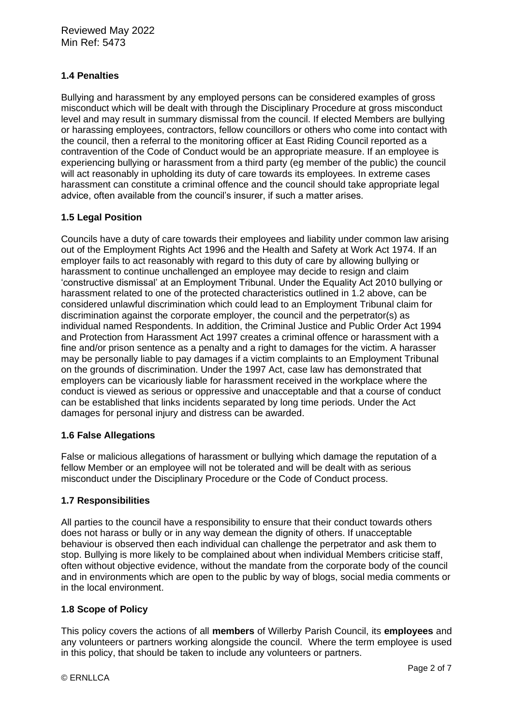# **1.4 Penalties**

Bullying and harassment by any employed persons can be considered examples of gross misconduct which will be dealt with through the Disciplinary Procedure at gross misconduct level and may result in summary dismissal from the council. If elected Members are bullying or harassing employees, contractors, fellow councillors or others who come into contact with the council, then a referral to the monitoring officer at East Riding Council reported as a contravention of the Code of Conduct would be an appropriate measure. If an employee is experiencing bullying or harassment from a third party (eg member of the public) the council will act reasonably in upholding its duty of care towards its employees. In extreme cases harassment can constitute a criminal offence and the council should take appropriate legal advice, often available from the council's insurer, if such a matter arises.

## **1.5 Legal Position**

Councils have a duty of care towards their employees and liability under common law arising out of the Employment Rights Act 1996 and the Health and Safety at Work Act 1974. If an employer fails to act reasonably with regard to this duty of care by allowing bullying or harassment to continue unchallenged an employee may decide to resign and claim 'constructive dismissal' at an Employment Tribunal. Under the Equality Act 2010 bullying or harassment related to one of the protected characteristics outlined in 1.2 above, can be considered unlawful discrimination which could lead to an Employment Tribunal claim for discrimination against the corporate employer, the council and the perpetrator(s) as individual named Respondents. In addition, the Criminal Justice and Public Order Act 1994 and Protection from Harassment Act 1997 creates a criminal offence or harassment with a fine and/or prison sentence as a penalty and a right to damages for the victim. A harasser may be personally liable to pay damages if a victim complaints to an Employment Tribunal on the grounds of discrimination. Under the 1997 Act, case law has demonstrated that employers can be vicariously liable for harassment received in the workplace where the conduct is viewed as serious or oppressive and unacceptable and that a course of conduct can be established that links incidents separated by long time periods. Under the Act damages for personal injury and distress can be awarded.

## **1.6 False Allegations**

False or malicious allegations of harassment or bullying which damage the reputation of a fellow Member or an employee will not be tolerated and will be dealt with as serious misconduct under the Disciplinary Procedure or the Code of Conduct process.

## **1.7 Responsibilities**

All parties to the council have a responsibility to ensure that their conduct towards others does not harass or bully or in any way demean the dignity of others. If unacceptable behaviour is observed then each individual can challenge the perpetrator and ask them to stop. Bullying is more likely to be complained about when individual Members criticise staff, often without objective evidence, without the mandate from the corporate body of the council and in environments which are open to the public by way of blogs, social media comments or in the local environment.

## **1.8 Scope of Policy**

This policy covers the actions of all **members** of Willerby Parish Council, its **employees** and any volunteers or partners working alongside the council. Where the term employee is used in this policy, that should be taken to include any volunteers or partners.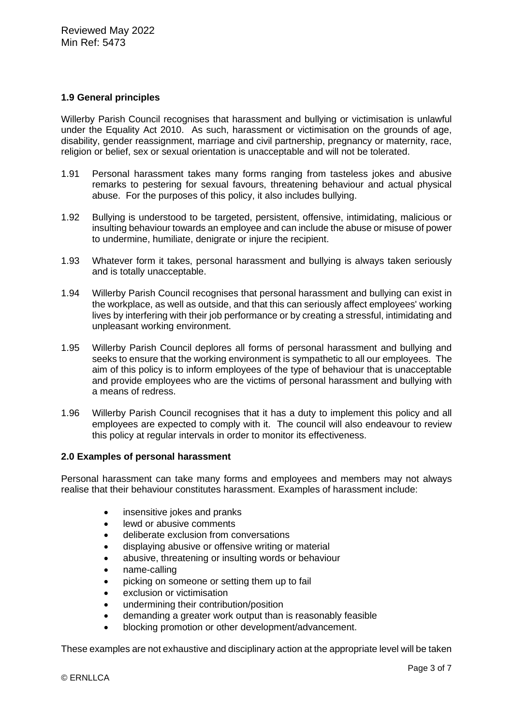## **1.9 General principles**

Willerby Parish Council recognises that harassment and bullying or victimisation is unlawful under the Equality Act 2010. As such, harassment or victimisation on the grounds of age, disability, gender reassignment, marriage and civil partnership, pregnancy or maternity, race, religion or belief, sex or sexual orientation is unacceptable and will not be tolerated.

- 1.91 Personal harassment takes many forms ranging from tasteless jokes and abusive remarks to pestering for sexual favours, threatening behaviour and actual physical abuse. For the purposes of this policy, it also includes bullying.
- 1.92 Bullying is understood to be targeted, persistent, offensive, intimidating, malicious or insulting behaviour towards an employee and can include the abuse or misuse of power to undermine, humiliate, denigrate or injure the recipient.
- 1.93 Whatever form it takes, personal harassment and bullying is always taken seriously and is totally unacceptable.
- 1.94 Willerby Parish Council recognises that personal harassment and bullying can exist in the workplace, as well as outside, and that this can seriously affect employees' working lives by interfering with their job performance or by creating a stressful, intimidating and unpleasant working environment.
- 1.95 Willerby Parish Council deplores all forms of personal harassment and bullying and seeks to ensure that the working environment is sympathetic to all our employees. The aim of this policy is to inform employees of the type of behaviour that is unacceptable and provide employees who are the victims of personal harassment and bullying with a means of redress.
- 1.96 Willerby Parish Council recognises that it has a duty to implement this policy and all employees are expected to comply with it. The council will also endeavour to review this policy at regular intervals in order to monitor its effectiveness.

## **2.0 Examples of personal harassment**

Personal harassment can take many forms and employees and members may not always realise that their behaviour constitutes harassment. Examples of harassment include:

- insensitive jokes and pranks
- lewd or abusive comments
- deliberate exclusion from conversations
- displaying abusive or offensive writing or material
- abusive, threatening or insulting words or behaviour
- name-calling
- picking on someone or setting them up to fail
- exclusion or victimisation
- undermining their contribution/position
- demanding a greater work output than is reasonably feasible
- blocking promotion or other development/advancement.

These examples are not exhaustive and disciplinary action at the appropriate level will be taken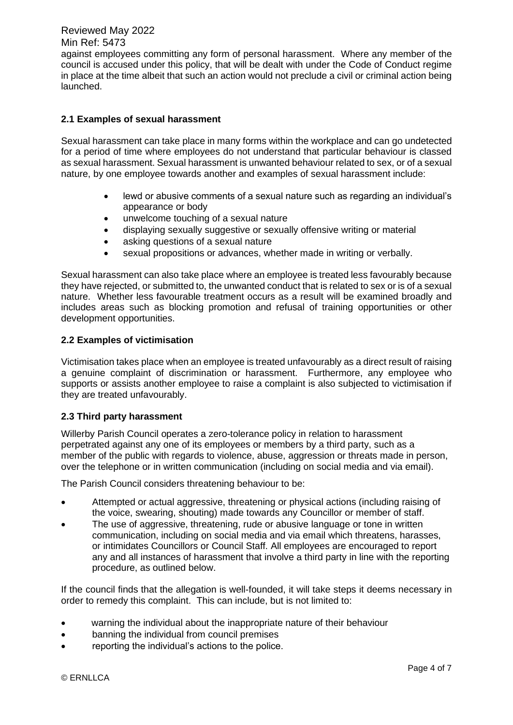Reviewed May 2022

#### Min Ref: 5473

against employees committing any form of personal harassment. Where any member of the council is accused under this policy, that will be dealt with under the Code of Conduct regime in place at the time albeit that such an action would not preclude a civil or criminal action being launched.

# **2.1 Examples of sexual harassment**

Sexual harassment can take place in many forms within the workplace and can go undetected for a period of time where employees do not understand that particular behaviour is classed as sexual harassment. Sexual harassment is unwanted behaviour related to sex, or of a sexual nature, by one employee towards another and examples of sexual harassment include:

- lewd or abusive comments of a sexual nature such as regarding an individual's appearance or body
- unwelcome touching of a sexual nature
- displaying sexually suggestive or sexually offensive writing or material
- asking questions of a sexual nature
- sexual propositions or advances, whether made in writing or verbally.

Sexual harassment can also take place where an employee is treated less favourably because they have rejected, or submitted to, the unwanted conduct that is related to sex or is of a sexual nature. Whether less favourable treatment occurs as a result will be examined broadly and includes areas such as blocking promotion and refusal of training opportunities or other development opportunities.

## **2.2 Examples of victimisation**

Victimisation takes place when an employee is treated unfavourably as a direct result of raising a genuine complaint of discrimination or harassment. Furthermore, any employee who supports or assists another employee to raise a complaint is also subjected to victimisation if they are treated unfavourably.

## **2.3 Third party harassment**

Willerby Parish Council operates a zero-tolerance policy in relation to harassment perpetrated against any one of its employees or members by a third party, such as a member of the public with regards to violence, abuse, aggression or threats made in person, over the telephone or in written communication (including on social media and via email).

The Parish Council considers threatening behaviour to be:

- Attempted or actual aggressive, threatening or physical actions (including raising of the voice, swearing, shouting) made towards any Councillor or member of staff.
- The use of aggressive, threatening, rude or abusive language or tone in written communication, including on social media and via email which threatens, harasses, or intimidates Councillors or Council Staff. All employees are encouraged to report any and all instances of harassment that involve a third party in line with the reporting procedure, as outlined below.

If the council finds that the allegation is well-founded, it will take steps it deems necessary in order to remedy this complaint. This can include, but is not limited to:

- warning the individual about the inappropriate nature of their behaviour
- banning the individual from council premises
- reporting the individual's actions to the police.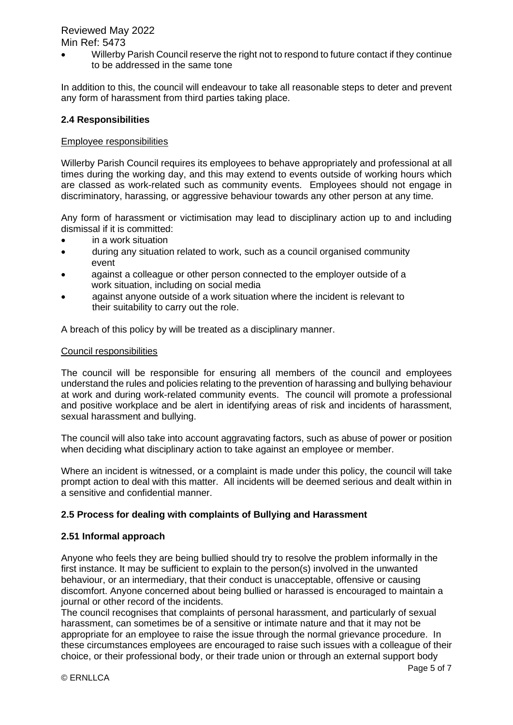# Reviewed May 2022 Min Ref: 5473

• Willerby Parish Council reserve the right not to respond to future contact if they continue to be addressed in the same tone

In addition to this, the council will endeavour to take all reasonable steps to deter and prevent any form of harassment from third parties taking place.

# **2.4 Responsibilities**

## Employee responsibilities

Willerby Parish Council requires its employees to behave appropriately and professional at all times during the working day, and this may extend to events outside of working hours which are classed as work-related such as community events. Employees should not engage in discriminatory, harassing, or aggressive behaviour towards any other person at any time.

Any form of harassment or victimisation may lead to disciplinary action up to and including dismissal if it is committed:

- in a work situation
- during any situation related to work, such as a council organised community event
- against a colleague or other person connected to the employer outside of a work situation, including on social media
- against anyone outside of a work situation where the incident is relevant to their suitability to carry out the role.

A breach of this policy by will be treated as a disciplinary manner.

#### Council responsibilities

The council will be responsible for ensuring all members of the council and employees understand the rules and policies relating to the prevention of harassing and bullying behaviour at work and during work-related community events. The council will promote a professional and positive workplace and be alert in identifying areas of risk and incidents of harassment, sexual harassment and bullying.

The council will also take into account aggravating factors, such as abuse of power or position when deciding what disciplinary action to take against an employee or member.

Where an incident is witnessed, or a complaint is made under this policy, the council will take prompt action to deal with this matter. All incidents will be deemed serious and dealt within in a sensitive and confidential manner.

## **2.5 Process for dealing with complaints of Bullying and Harassment**

## **2.51 Informal approach**

Anyone who feels they are being bullied should try to resolve the problem informally in the first instance. It may be sufficient to explain to the person(s) involved in the unwanted behaviour, or an intermediary, that their conduct is unacceptable, offensive or causing discomfort. Anyone concerned about being bullied or harassed is encouraged to maintain a journal or other record of the incidents.

The council recognises that complaints of personal harassment, and particularly of sexual harassment, can sometimes be of a sensitive or intimate nature and that it may not be appropriate for an employee to raise the issue through the normal grievance procedure. In these circumstances employees are encouraged to raise such issues with a colleague of their choice, or their professional body, or their trade union or through an external support body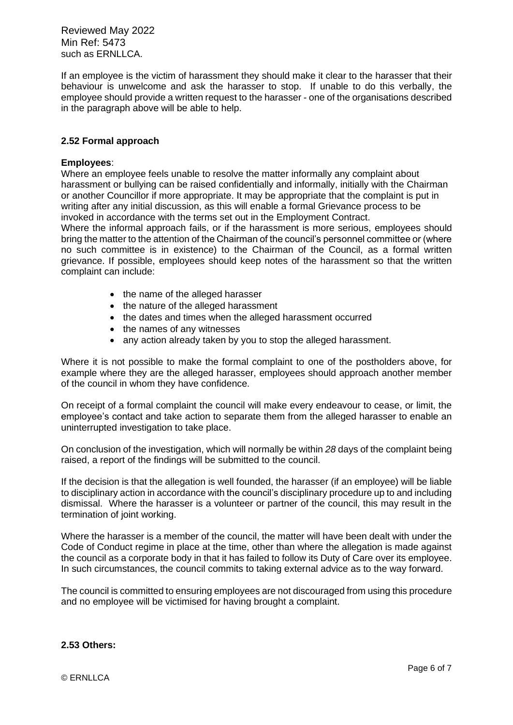Reviewed May 2022 Min Ref: 5473 such as FRNLLCA.

If an employee is the victim of harassment they should make it clear to the harasser that their behaviour is unwelcome and ask the harasser to stop. If unable to do this verbally, the employee should provide a written request to the harasser - one of the organisations described in the paragraph above will be able to help.

#### **2.52 Formal approach**

#### **Employees**:

Where an employee feels unable to resolve the matter informally any complaint about harassment or bullying can be raised confidentially and informally, initially with the Chairman or another Councillor if more appropriate. It may be appropriate that the complaint is put in writing after any initial discussion, as this will enable a formal Grievance process to be invoked in accordance with the terms set out in the Employment Contract.

Where the informal approach fails, or if the harassment is more serious, employees should bring the matter to the attention of the Chairman of the council's personnel committee or (where no such committee is in existence) to the Chairman of the Council, as a formal written grievance. If possible, employees should keep notes of the harassment so that the written complaint can include:

- the name of the alleged harasser
- the nature of the alleged harassment
- the dates and times when the alleged harassment occurred
- the names of any witnesses
- any action already taken by you to stop the alleged harassment.

Where it is not possible to make the formal complaint to one of the postholders above, for example where they are the alleged harasser, employees should approach another member of the council in whom they have confidence.

On receipt of a formal complaint the council will make every endeavour to cease, or limit, the employee's contact and take action to separate them from the alleged harasser to enable an uninterrupted investigation to take place.

On conclusion of the investigation, which will normally be within *28* days of the complaint being raised, a report of the findings will be submitted to the council.

If the decision is that the allegation is well founded, the harasser (if an employee) will be liable to disciplinary action in accordance with the council's disciplinary procedure up to and including dismissal. Where the harasser is a volunteer or partner of the council, this may result in the termination of joint working.

Where the harasser is a member of the council, the matter will have been dealt with under the Code of Conduct regime in place at the time, other than where the allegation is made against the council as a corporate body in that it has failed to follow its Duty of Care over its employee. In such circumstances, the council commits to taking external advice as to the way forward.

The council is committed to ensuring employees are not discouraged from using this procedure and no employee will be victimised for having brought a complaint.

#### **2.53 Others:**